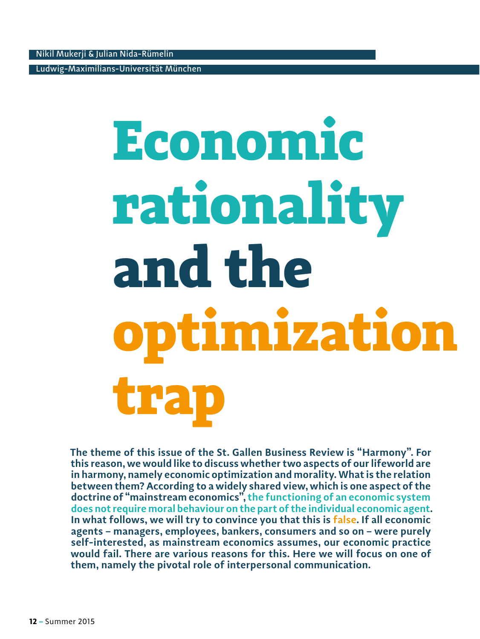Ludwig-Maximilians-Universität München

# Economic rationality and the optimization trap

**The theme of this issue of the St. Gallen Business Review is "Harmony". For this reason, we would like to discuss whether two aspects of our lifeworld are in harmony, namely economic optimization and morality. What is the relation between them? According to a widely shared view, which is one aspect of the doctrine of "mainstream economics", the functioning of an economic system does not require moral behaviour on the part of the individual economic agent. In what follows, we will try to convince you that this is false. If all economic agents – managers, employees, bankers, consumers and so on – were purely self-interested, as mainstream economics assumes, our economic practice would fail. There are various reasons for this. Here we will focus on one of them, namely the pivotal role of interpersonal communication.**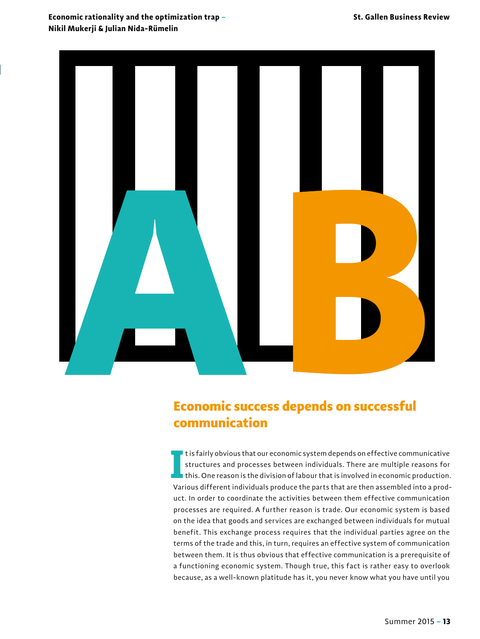## **Economic rationality and the optimization trap – Nikil Mukerji & Julian Nida-Rümelin**



## Economic success depends on successful communication

In this fairly obvious that our economic system depends on effective communicative structures and processes between individuals. There are multiple reasons for this. One reason is the division of labour that is involved in It is fairly obvious that our economic system depends on effective communicative structures and processes between individuals. There are multiple reasons for this. One reason is the division of labour that is involved in economic production. uct. In order to coordinate the activities between them effective communication processes are required. A further reason is trade. Our economic system is based on the idea that goods and services are exchanged between individuals for mutual benefit. This exchange process requires that the individual parties agree on the terms of the trade and this, in turn, requires an effective system of communication between them. It is thus obvious that effective communication is a prerequisite of a functioning economic system. Though true, this fact is rather easy to overlook because, as a well-known platitude has it, you never know what you have until you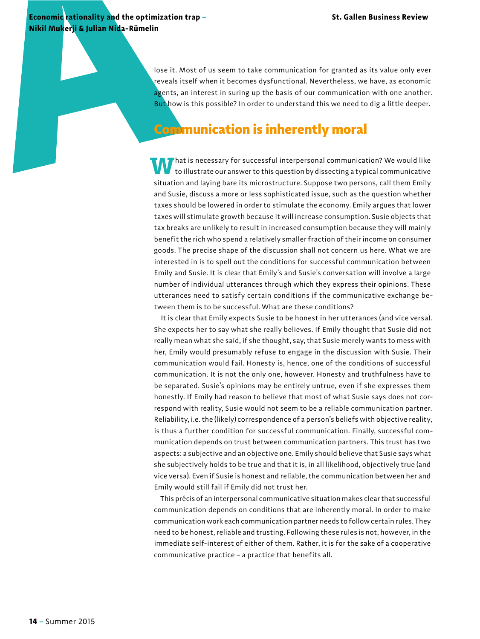**Economic rationality and the optimization trap – Nikil Mukerji & Julian Nida-Rümelin** 

> lose it. Most of us seem to take communication for granted as its value only ever reveals itself when it becomes dysfunctional. Nevertheless, we have, as economic agents, an interest in suring up the basis of our communication with one another. But how is this possible? In order to understand this we need to dig a little deeper.

## Communication is inherently moral

**W** hat is necessary for successful interpersonal communication? We would like to illustrate our answer to this question by dissecting a typical communicative situation and laying bare its microstructure. Suppose two persons, call them Emily and Susie, discuss a more or less sophisticated issue, such as the question whether taxes should be lowered in order to stimulate the economy. Emily argues that lower taxes will stimulate growth because it will increase consumption. Susie objects that tax breaks are unlikely to result in increased consumption because they will mainly benefit the rich who spend a relatively smaller fraction of their income on consumer goods. The precise shape of the discussion shall not concern us here. What we are interested in is to spell out the conditions for successful communication between Emily and Susie. It is clear that Emily's and Susie's conversation will involve a large number of individual utterances through which they express their opinions. These utterances need to satisfy certain conditions if the communicative exchange between them is to be successful. What are these conditions?

It is clear that Emily expects Susie to be honest in her utterances (and vice versa). She expects her to say what she really believes. If Emily thought that Susie did not really mean what she said, if she thought, say, that Susie merely wants to mess with her, Emily would presumably refuse to engage in the discussion with Susie. Their communication would fail. Honesty is, hence, one of the conditions of successful communication. It is not the only one, however. Honesty and truthfulness have to be separated. Susie's opinions may be entirely untrue, even if she expresses them honestly. If Emily had reason to believe that most of what Susie says does not correspond with reality, Susie would not seem to be a reliable communication partner. Reliability, i.e. the (likely) correspondence of a person's beliefs with objective reality, is thus a further condition for successful communication. Finally, successful communication depends on trust between communication partners. This trust has two aspects: a subjective and an objective one. Emily should believe that Susie says what she subjectively holds to be true and that it is, in all likelihood, objectively true (and vice versa). Even if Susie is honest and reliable, the communication between her and Emily would still fail if Emily did not trust her.

This précis of an interpersonal communicative situation makes clear that successful communication depends on conditions that are inherently moral. In order to make communication work each communication partner needs to follow certain rules. They need to be honest, reliable and trusting. Following these rules is not, however, in the immediate self-interest of either of them. Rather, it is for the sake of a cooperative communicative practice – a practice that benefits all.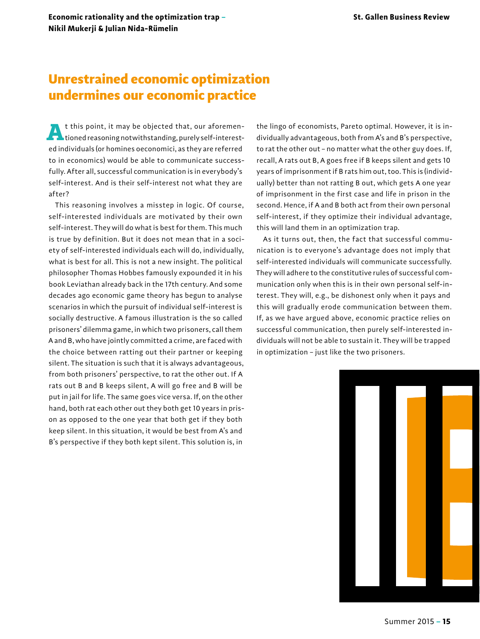**Economic rationality and the optimization trap – St. Gallen Business Review Nikil Mukerji & Julian Nida-Rümelin** 

# Unrestrained economic optimization undermines our economic practice

**A**t this point, it may be objected that, our aforemen-tioned reasoning notwithstanding, purely self-interested individuals (or homines oeconomici, as they are referred to in economics) would be able to communicate successfully. After all, successful communication is in everybody's self-interest. And is their self-interest not what they are after?

This reasoning involves a misstep in logic. Of course, self-interested individuals are motivated by their own self-interest. They will do what is best for them. This much is true by definition. But it does not mean that in a society of self-interested individuals each will do, individually, what is best for all. This is not a new insight. The political philosopher Thomas Hobbes famously expounded it in his book Leviathan already back in the 17th century. And some decades ago economic game theory has begun to analyse scenarios in which the pursuit of individual self-interest is socially destructive. A famous illustration is the so called prisoners' dilemma game, in which two prisoners, call them A and B, who have jointly committed a crime, are faced with the choice between ratting out their partner or keeping silent. The situation is such that it is always advantageous, from both prisoners' perspective, to rat the other out. If A rats out B and B keeps silent, A will go free and B will be put in jail for life. The same goes vice versa. If, on the other hand, both rat each other out they both get 10 years in prison as opposed to the one year that both get if they both keep silent. In this situation, it would be best from A's and B's perspective if they both kept silent. This solution is, in

the lingo of economists, Pareto optimal. However, it is individually advantageous, both from A's and B's perspective, to rat the other out – no matter what the other guy does. If, recall, A rats out B, A goes free if B keeps silent and gets 10 years of imprisonment if B rats him out, too. This is (individually) better than not ratting B out, which gets A one year of imprisonment in the first case and life in prison in the second. Hence, if A and B both act from their own personal self-interest, if they optimize their individual advantage, this will land them in an optimization trap.

As it turns out, then, the fact that successful communication is to everyone's advantage does not imply that self-interested individuals will communicate successfully. They will adhere to the constitutive rules of successful communication only when this is in their own personal self-interest. They will, e.g., be dishonest only when it pays and this will gradually erode communication between them. If, as we have argued above, economic practice relies on successful communication, then purely self-interested individuals will not be able to sustain it. They will be trapped in optimization – just like the two prisoners.

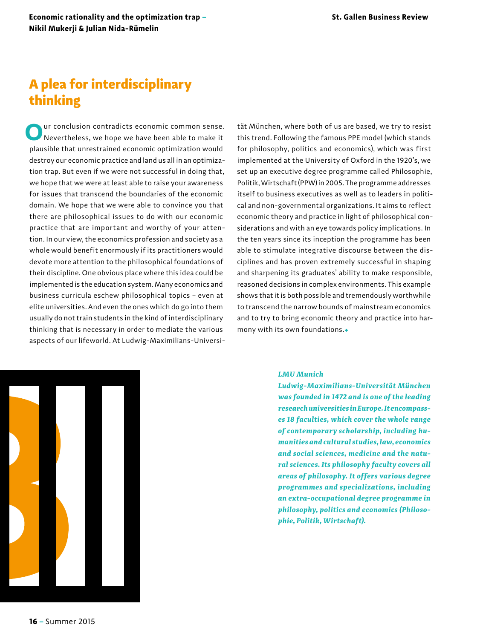# A plea for interdisciplinary thinking

ur conclusion contradicts economic common sense. Nevertheless, we hope we have been able to make it plausible that unrestrained economic optimization would destroy our economic practice and land us all in an optimization trap. But even if we were not successful in doing that, we hope that we were at least able to raise your awareness for issues that transcend the boundaries of the economic domain. We hope that we were able to convince you that there are philosophical issues to do with our economic practice that are important and worthy of your attention. In our view, the economics profession and society as a whole would benefit enormously if its practitioners would devote more attention to the philosophical foundations of their discipline. One obvious place where this idea could be implemented is the education system. Many economics and business curricula eschew philosophical topics – even at elite universities. And even the ones which do go into them usually do not train students in the kind of interdisciplinary thinking that is necessary in order to mediate the various aspects of our lifeworld. At Ludwig-Maximilians-Universi-

tät München, where both of us are based, we try to resist this trend. Following the famous PPE model (which stands for philosophy, politics and economics), which was first implemented at the University of Oxford in the 1920's, we set up an executive degree programme called Philosophie, Politik, Wirtschaft (PPW) in 2005. The programme addresses itself to business executives as well as to leaders in political and non-governmental organizations. It aims to reflect economic theory and practice in light of philosophical considerations and with an eye towards policy implications. In the ten years since its inception the programme has been able to stimulate integrative discourse between the disciplines and has proven extremely successful in shaping and sharpening its graduates' ability to make responsible, reasoned decisions in complex environments. This example shows that it is both possible and tremendously worthwhile to transcend the narrow bounds of mainstream economics and to try to bring economic theory and practice into harmony with its own foundations.



#### *LMU Munich*

*Ludwig-Maximilians-Universität München was founded in 1472 and is one of the leading research universities in Europe. It encompasses 18 faculties, which cover the whole range of contemporary scholarship, including humanities and cultural studies, law, economics and social sciences, medicine and the natural sciences. Its philosophy faculty covers all areas of philosophy. It offers various degree programmes and specializations, including an extra-occupational degree programme in philosophy, politics and economics (Philosophie, Politik, Wirtschaft).*